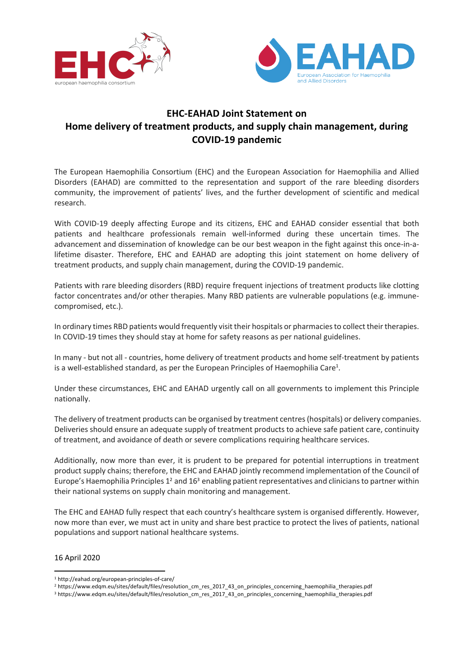



## **EHC-EAHAD Joint Statement on Home delivery of treatment products, and supply chain management, during COVID-19 pandemic**

The European Haemophilia Consortium (EHC) and the European Association for Haemophilia and Allied Disorders (EAHAD) are committed to the representation and support of the rare bleeding disorders community, the improvement of patients' lives, and the further development of scientific and medical research.

With COVID-19 deeply affecting Europe and its citizens, EHC and EAHAD consider essential that both patients and healthcare professionals remain well-informed during these uncertain times. The advancement and dissemination of knowledge can be our best weapon in the fight against this once-in-alifetime disaster. Therefore, EHC and EAHAD are adopting this joint statement on home delivery of treatment products, and supply chain management, during the COVID-19 pandemic.

Patients with rare bleeding disorders (RBD) require frequent injections of treatment products like clotting factor concentrates and/or other therapies. Many RBD patients are vulnerable populations (e.g. immunecompromised, etc.).

In ordinary times RBD patients would frequently visit their hospitals or pharmaciesto collect their therapies. In COVID-19 times they should stay at home for safety reasons as per national guidelines.

In many - but not all - countries, home delivery of treatment products and home self-treatment by patients is a well-established standard, as per the European Principles of Haemophilia Care<sup>1</sup>.

Under these circumstances, EHC and EAHAD urgently call on all governments to implement this Principle nationally.

The delivery of treatment products can be organised by treatment centres (hospitals) or delivery companies. Deliveries should ensure an adequate supply of treatment products to achieve safe patient care, continuity of treatment, and avoidance of death or severe complications requiring healthcare services.

Additionally, now more than ever, it is prudent to be prepared for potential interruptions in treatment product supply chains; therefore, the EHC and EAHAD jointly recommend implementation of the Council of Europe's Haemophilia Principles 12 and 163 enabling patient representatives and clinicians to partner within their national systems on supply chain monitoring and management.

The EHC and EAHAD fully respect that each country's healthcare system is organised differently. However, now more than ever, we must act in unity and share best practice to protect the lives of patients, national populations and support national healthcare systems.

## 16 April 2020

<sup>1</sup> http://eahad.org/european-principles-of-care/

<sup>2</sup> https://www.edqm.eu/sites/default/files/resolution\_cm\_res\_2017\_43\_on\_principles\_concerning\_haemophilia\_therapies.pdf

<sup>&</sup>lt;sup>3</sup> https://www.edqm.eu/sites/default/files/resolution cm res 2017 43 on principles concerning haemophilia therapies.pdf